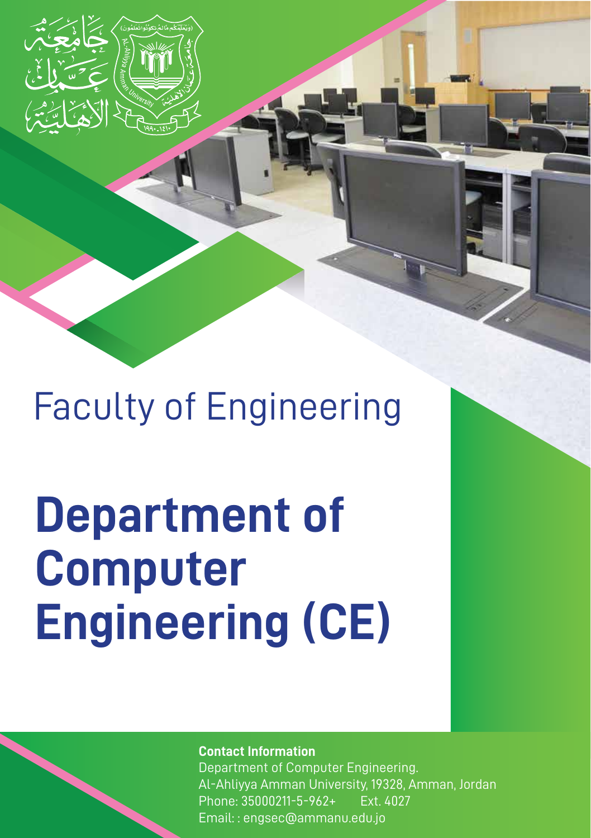

# **Department of Computer Engineering (CE)**

**Contact Information**

Department of Computer Engineering. Al-Ahliyya Amman University, 19328, Amman, Jordan Phone: 35000211-5-962+ Ext. 4027 Email: : engsec@ammanu.edu.jo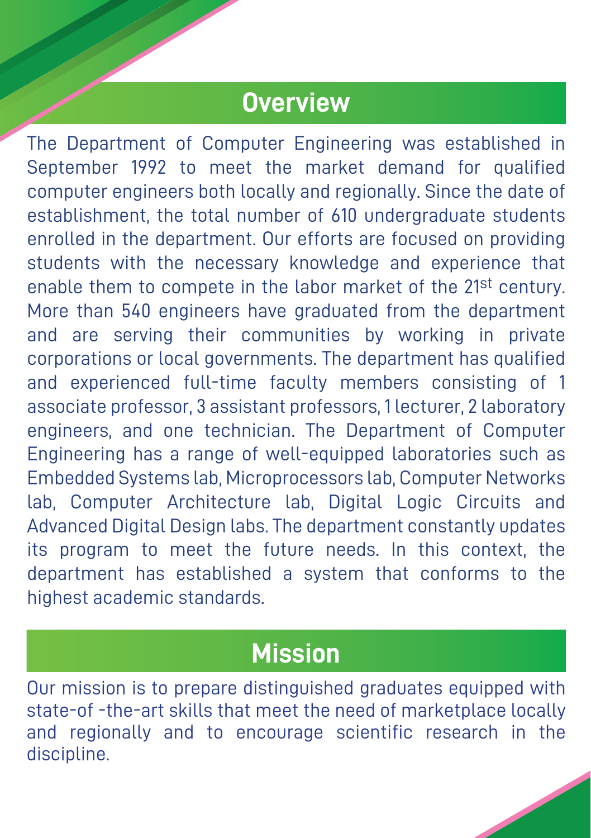#### **Overview**

The Department of Computer Engineering was established in September 1992 to meet the market demand for qualified computer engineers both locally and regionally. Since the date of establishment, the total number of 610 undergraduate students enrolled in the department. Our efforts are focused on providing students with the necessary knowledge and experience that enable them to compete in the labor market of the 21<sup>st</sup> century. More than 540 engineers have graduated from the department and are serving their communities by working in private corporations or local governments. The department has qualified and experienced full-time faculty members consisting of 1 associate professor, 3 assistant professors, 1 lecturer, 2 laboratory engineers, and one technician. The Department of Computer Engineering has a range of well-equipped laboratories such as Embedded Systems lab, Microprocessors lab, Computer Networks lab, Computer Architecture lab, Digital Logic Circuits and Advanced Digital Design labs. The department constantly updates its program to meet the future needs. In this context, the department has established a system that conforms to the highest academic standards.

#### **Mission**

Our mission is to prepare distinguished graduates equipped with state-of -the-art skills that meet the need of marketplace locally and regionally and to encourage scientific research in the discipline.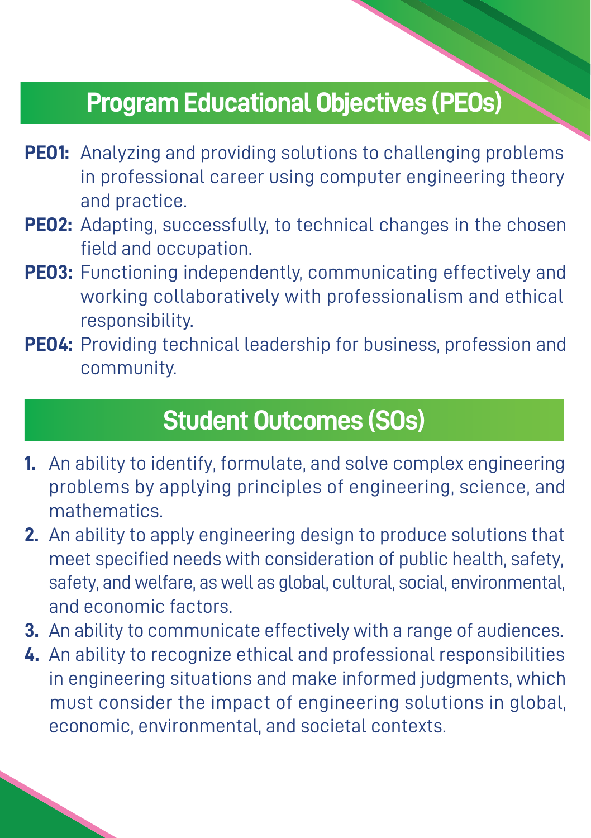### **Program Educational Objectives (PEOs)**

- **PEO1:** Analyzing and providing solutions to challenging problems in professional career using computer engineering theory and practice.
- **PEO2:** Adapting, successfully, to technical changes in the chosen field and occupation.
- **PEO3:** Functioning independently, communicating effectively and working collaboratively with professionalism and ethical responsibility.
- **PEO4:** Providing technical leadership for business, profession and community.

## **Student Outcomes (SOs)**

- **1.** An ability to identify, formulate, and solve complex engineering problems by applying principles of engineering, science, and mathematics.
- **2.** An ability to apply engineering design to produce solutions that meet specified needs with consideration of public health, safety, safety, and welfare, as well as global, cultural, social, environmental, and economic factors.
- **3.** An ability to communicate effectively with a range of audiences.
- **4.** An ability to recognize ethical and professional responsibilities in engineering situations and make informed judgments, which must consider the impact of engineering solutions in global, economic, environmental, and societal contexts.